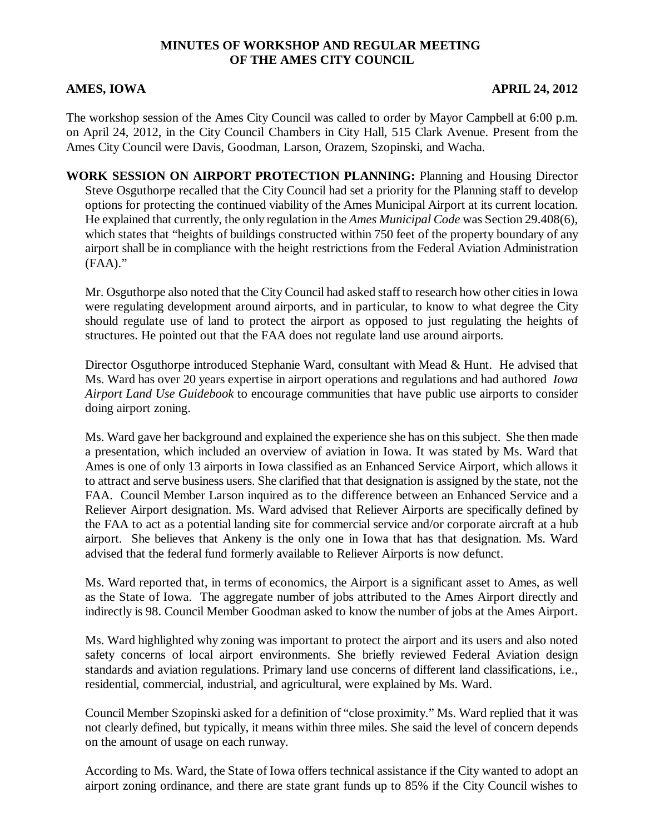## **MINUTES OF WORKSHOP AND REGULAR MEETING OF THE AMES CITY COUNCIL**

### **AMES, IOWA APRIL 24, 2012**

The workshop session of the Ames City Council was called to order by Mayor Campbell at 6:00 p.m. on April 24, 2012, in the City Council Chambers in City Hall, 515 Clark Avenue. Present from the Ames City Council were Davis, Goodman, Larson, Orazem, Szopinski, and Wacha.

**WORK SESSION ON AIRPORT PROTECTION PLANNING:** Planning and Housing Director Steve Osguthorpe recalled that the City Council had set a priority for the Planning staff to develop options for protecting the continued viability of the Ames Municipal Airport at its current location. He explained that currently, the only regulation in the *Ames Municipal Code* was Section 29.408(6), which states that "heights of buildings constructed within 750 feet of the property boundary of any airport shall be in compliance with the height restrictions from the Federal Aviation Administration (FAA)."

Mr. Osguthorpe also noted that the City Council had asked staff to research how other cities in Iowa were regulating development around airports, and in particular, to know to what degree the City should regulate use of land to protect the airport as opposed to just regulating the heights of structures. He pointed out that the FAA does not regulate land use around airports.

Director Osguthorpe introduced Stephanie Ward, consultant with Mead & Hunt. He advised that Ms. Ward has over 20 years expertise in airport operations and regulations and had authored *Iowa Airport Land Use Guidebook* to encourage communities that have public use airports to consider doing airport zoning.

Ms. Ward gave her background and explained the experience she has on this subject. She then made a presentation, which included an overview of aviation in Iowa. It was stated by Ms. Ward that Ames is one of only 13 airports in Iowa classified as an Enhanced Service Airport, which allows it to attract and serve business users. She clarified that that designation is assigned by the state, not the FAA. Council Member Larson inquired as to the difference between an Enhanced Service and a Reliever Airport designation. Ms. Ward advised that Reliever Airports are specifically defined by the FAA to act as a potential landing site for commercial service and/or corporate aircraft at a hub airport. She believes that Ankeny is the only one in Iowa that has that designation. Ms. Ward advised that the federal fund formerly available to Reliever Airports is now defunct.

Ms. Ward reported that, in terms of economics, the Airport is a significant asset to Ames, as well as the State of Iowa. The aggregate number of jobs attributed to the Ames Airport directly and indirectly is 98. Council Member Goodman asked to know the number of jobs at the Ames Airport.

Ms. Ward highlighted why zoning was important to protect the airport and its users and also noted safety concerns of local airport environments. She briefly reviewed Federal Aviation design standards and aviation regulations. Primary land use concerns of different land classifications, i.e., residential, commercial, industrial, and agricultural, were explained by Ms. Ward.

Council Member Szopinski asked for a definition of "close proximity." Ms. Ward replied that it was not clearly defined, but typically, it means within three miles. She said the level of concern depends on the amount of usage on each runway.

According to Ms. Ward, the State of Iowa offers technical assistance if the City wanted to adopt an airport zoning ordinance, and there are state grant funds up to 85% if the City Council wishes to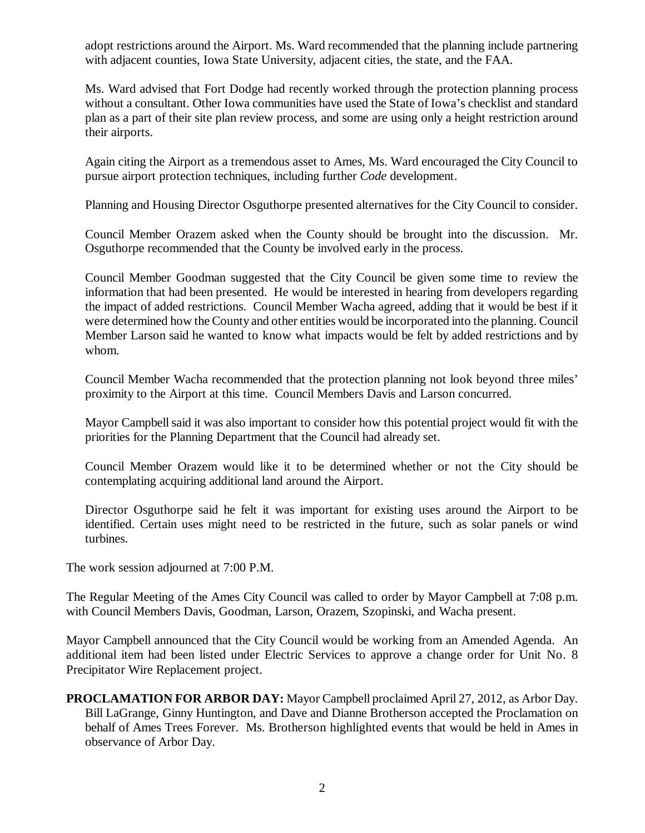adopt restrictions around the Airport. Ms. Ward recommended that the planning include partnering with adjacent counties, Iowa State University, adjacent cities, the state, and the FAA.

Ms. Ward advised that Fort Dodge had recently worked through the protection planning process without a consultant. Other Iowa communities have used the State of Iowa's checklist and standard plan as a part of their site plan review process, and some are using only a height restriction around their airports.

Again citing the Airport as a tremendous asset to Ames, Ms. Ward encouraged the City Council to pursue airport protection techniques, including further *Code* development.

Planning and Housing Director Osguthorpe presented alternatives for the City Council to consider.

Council Member Orazem asked when the County should be brought into the discussion. Mr. Osguthorpe recommended that the County be involved early in the process.

Council Member Goodman suggested that the City Council be given some time to review the information that had been presented. He would be interested in hearing from developers regarding the impact of added restrictions. Council Member Wacha agreed, adding that it would be best if it were determined how the County and other entities would be incorporated into the planning. Council Member Larson said he wanted to know what impacts would be felt by added restrictions and by whom.

Council Member Wacha recommended that the protection planning not look beyond three miles' proximity to the Airport at this time. Council Members Davis and Larson concurred.

Mayor Campbell said it was also important to consider how this potential project would fit with the priorities for the Planning Department that the Council had already set.

Council Member Orazem would like it to be determined whether or not the City should be contemplating acquiring additional land around the Airport.

Director Osguthorpe said he felt it was important for existing uses around the Airport to be identified. Certain uses might need to be restricted in the future, such as solar panels or wind turbines.

The work session adjourned at 7:00 P.M.

The Regular Meeting of the Ames City Council was called to order by Mayor Campbell at 7:08 p.m. with Council Members Davis, Goodman, Larson, Orazem, Szopinski, and Wacha present.

Mayor Campbell announced that the City Council would be working from an Amended Agenda. An additional item had been listed under Electric Services to approve a change order for Unit No. 8 Precipitator Wire Replacement project.

**PROCLAMATION FOR ARBOR DAY:** Mayor Campbell proclaimed April 27, 2012, as Arbor Day. Bill LaGrange, Ginny Huntington, and Dave and Dianne Brotherson accepted the Proclamation on behalf of Ames Trees Forever. Ms. Brotherson highlighted events that would be held in Ames in observance of Arbor Day.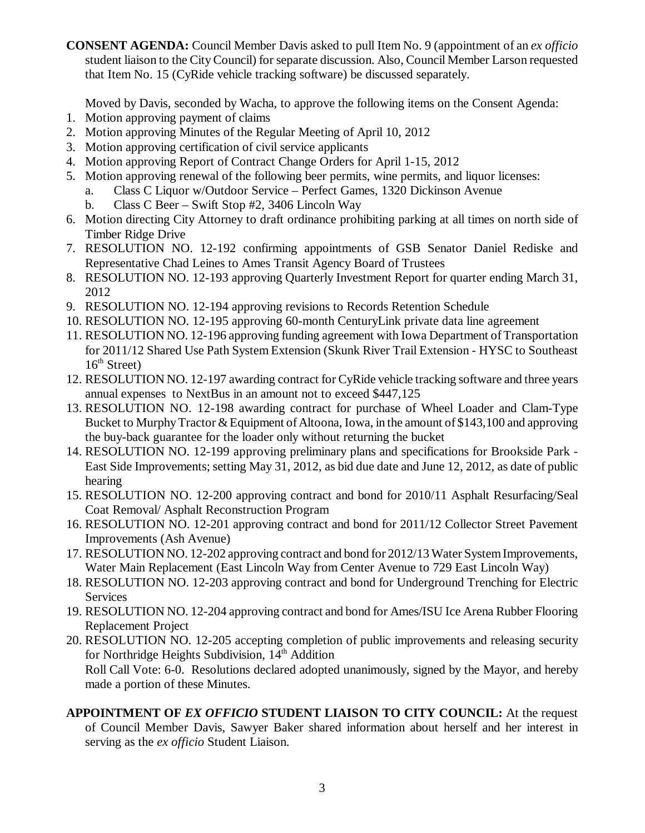**CONSENT AGENDA:** Council Member Davis asked to pull Item No. 9 (appointment of an *ex officio* student liaison to the City Council) for separate discussion. Also, Council Member Larson requested that Item No. 15 (CyRide vehicle tracking software) be discussed separately.

Moved by Davis, seconded by Wacha, to approve the following items on the Consent Agenda:

- 1. Motion approving payment of claims
- 2. Motion approving Minutes of the Regular Meeting of April 10, 2012
- 3. Motion approving certification of civil service applicants
- 4. Motion approving Report of Contract Change Orders for April 1-15, 2012
- 5. Motion approving renewal of the following beer permits, wine permits, and liquor licenses:
	- a. Class C Liquor w/Outdoor Service Perfect Games, 1320 Dickinson Avenue
	- b. Class C Beer Swift Stop #2, 3406 Lincoln Way
- 6. Motion directing City Attorney to draft ordinance prohibiting parking at all times on north side of Timber Ridge Drive
- 7. RESOLUTION NO. 12-192 confirming appointments of GSB Senator Daniel Rediske and Representative Chad Leines to Ames Transit Agency Board of Trustees
- 8. RESOLUTION NO. 12-193 approving Quarterly Investment Report for quarter ending March 31, 2012
- 9. RESOLUTION NO. 12-194 approving revisions to Records Retention Schedule
- 10. RESOLUTION NO. 12-195 approving 60-month CenturyLink private data line agreement
- 11. RESOLUTION NO. 12-196 approving funding agreement with Iowa Department of Transportation for 2011/12 Shared Use Path System Extension (Skunk River Trail Extension - HYSC to Southeast  $16<sup>th</sup> Street)$
- 12. RESOLUTION NO. 12-197 awarding contract for CyRide vehicle tracking software and three years annual expenses to NextBus in an amount not to exceed \$447,125
- 13. RESOLUTION NO. 12-198 awarding contract for purchase of Wheel Loader and Clam-Type Bucket to Murphy Tractor & Equipment of Altoona, Iowa, in the amount of \$143,100 and approving the buy-back guarantee for the loader only without returning the bucket
- 14. RESOLUTION NO. 12-199 approving preliminary plans and specifications for Brookside Park East Side Improvements; setting May 31, 2012, as bid due date and June 12, 2012, as date of public hearing
- 15. RESOLUTION NO. 12-200 approving contract and bond for 2010/11 Asphalt Resurfacing/Seal Coat Removal/ Asphalt Reconstruction Program
- 16. RESOLUTION NO. 12-201 approving contract and bond for 2011/12 Collector Street Pavement Improvements (Ash Avenue)
- 17. RESOLUTION NO. 12-202 approving contract and bond for 2012/13 Water System Improvements, Water Main Replacement (East Lincoln Way from Center Avenue to 729 East Lincoln Way)
- 18. RESOLUTION NO. 12-203 approving contract and bond for Underground Trenching for Electric Services
- 19. RESOLUTION NO. 12-204 approving contract and bond for Ames/ISU Ice Arena Rubber Flooring Replacement Project
- 20. RESOLUTION NO. 12-205 accepting completion of public improvements and releasing security for Northridge Heights Subdivision, 14<sup>th</sup> Addition Roll Call Vote: 6-0. Resolutions declared adopted unanimously, signed by the Mayor, and hereby made a portion of these Minutes.
- **APPOINTMENT OF** *EX OFFICIO* **STUDENT LIAISON TO CITY COUNCIL:** At the request of Council Member Davis, Sawyer Baker shared information about herself and her interest in serving as the *ex officio* Student Liaison.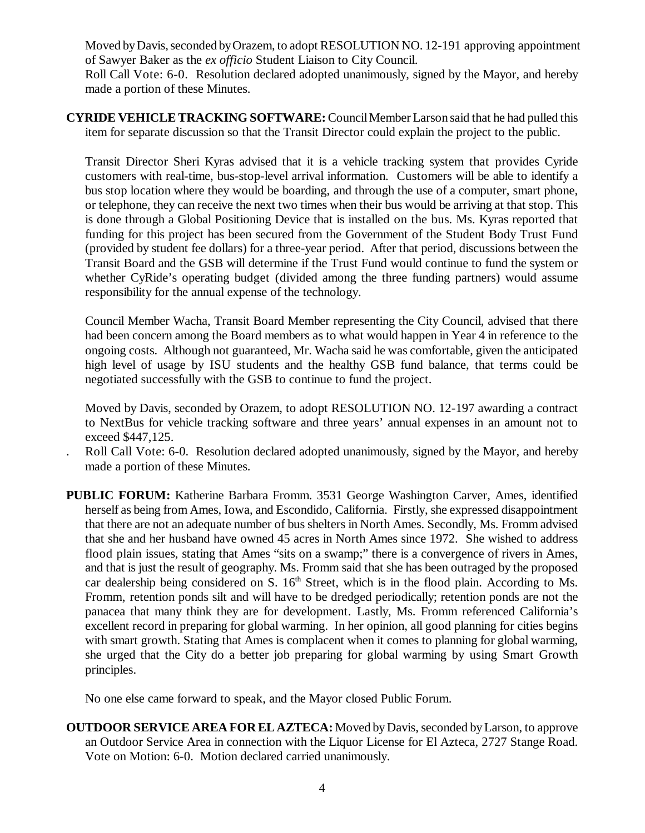Moved by Davis, seconded by Orazem, to adopt RESOLUTION NO. 12-191 approving appointment of Sawyer Baker as the *ex officio* Student Liaison to City Council.

Roll Call Vote: 6-0. Resolution declared adopted unanimously, signed by the Mayor, and hereby made a portion of these Minutes.

**CYRIDE VEHICLE TRACKING SOFTWARE:** Council Member Larson said that he had pulled this item for separate discussion so that the Transit Director could explain the project to the public.

Transit Director Sheri Kyras advised that it is a vehicle tracking system that provides Cyride customers with real-time, bus-stop-level arrival information. Customers will be able to identify a bus stop location where they would be boarding, and through the use of a computer, smart phone, or telephone, they can receive the next two times when their bus would be arriving at that stop. This is done through a Global Positioning Device that is installed on the bus. Ms. Kyras reported that funding for this project has been secured from the Government of the Student Body Trust Fund (provided by student fee dollars) for a three-year period. After that period, discussions between the Transit Board and the GSB will determine if the Trust Fund would continue to fund the system or whether CyRide's operating budget (divided among the three funding partners) would assume responsibility for the annual expense of the technology.

Council Member Wacha, Transit Board Member representing the City Council, advised that there had been concern among the Board members as to what would happen in Year 4 in reference to the ongoing costs. Although not guaranteed, Mr. Wacha said he was comfortable, given the anticipated high level of usage by ISU students and the healthy GSB fund balance, that terms could be negotiated successfully with the GSB to continue to fund the project.

Moved by Davis, seconded by Orazem, to adopt RESOLUTION NO. 12-197 awarding a contract to NextBus for vehicle tracking software and three years' annual expenses in an amount not to exceed \$447,125.

- Roll Call Vote: 6-0. Resolution declared adopted unanimously, signed by the Mayor, and hereby made a portion of these Minutes.
- **PUBLIC FORUM:** Katherine Barbara Fromm. 3531 George Washington Carver, Ames, identified herself as being from Ames, Iowa, and Escondido, California. Firstly, she expressed disappointment that there are not an adequate number of bus shelters in North Ames. Secondly, Ms. Fromm advised that she and her husband have owned 45 acres in North Ames since 1972. She wished to address flood plain issues, stating that Ames "sits on a swamp;" there is a convergence of rivers in Ames, and that is just the result of geography. Ms. Fromm said that she has been outraged by the proposed car dealership being considered on S.  $16<sup>th</sup>$  Street, which is in the flood plain. According to Ms. Fromm, retention ponds silt and will have to be dredged periodically; retention ponds are not the panacea that many think they are for development. Lastly, Ms. Fromm referenced California's excellent record in preparing for global warming. In her opinion, all good planning for cities begins with smart growth. Stating that Ames is complacent when it comes to planning for global warming, she urged that the City do a better job preparing for global warming by using Smart Growth principles.

No one else came forward to speak, and the Mayor closed Public Forum.

**OUTDOOR SERVICE AREA FOR EL AZTECA:** Moved by Davis, seconded by Larson, to approve an Outdoor Service Area in connection with the Liquor License for El Azteca, 2727 Stange Road. Vote on Motion: 6-0. Motion declared carried unanimously.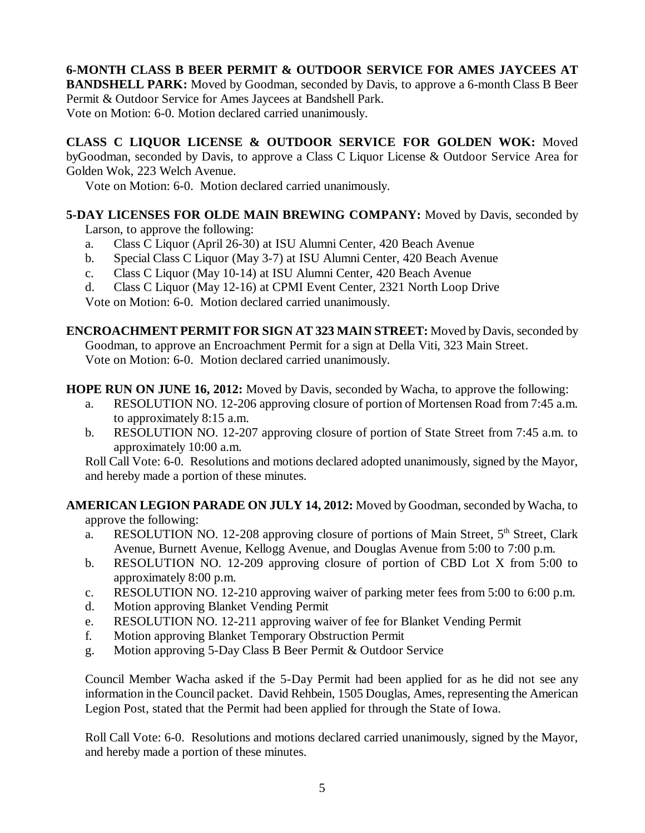# **6-MONTH CLASS B BEER PERMIT & OUTDOOR SERVICE FOR AMES JAYCEES AT**

**BANDSHELL PARK:** Moved by Goodman, seconded by Davis, to approve a 6-month Class B Beer Permit & Outdoor Service for Ames Jaycees at Bandshell Park. Vote on Motion: 6-0. Motion declared carried unanimously.

**CLASS C LIQUOR LICENSE & OUTDOOR SERVICE FOR GOLDEN WOK:** Moved byGoodman, seconded by Davis, to approve a Class C Liquor License & Outdoor Service Area for Golden Wok, 223 Welch Avenue.

Vote on Motion: 6-0. Motion declared carried unanimously.

## **5-DAY LICENSES FOR OLDE MAIN BREWING COMPANY:** Moved by Davis, seconded by

Larson, to approve the following:

- a. Class C Liquor (April 26-30) at ISU Alumni Center, 420 Beach Avenue
- b. Special Class C Liquor (May 3-7) at ISU Alumni Center, 420 Beach Avenue
- c. Class C Liquor (May 10-14) at ISU Alumni Center, 420 Beach Avenue
- d. Class C Liquor (May 12-16) at CPMI Event Center, 2321 North Loop Drive

Vote on Motion: 6-0. Motion declared carried unanimously.

**ENCROACHMENT PERMIT FOR SIGN AT 323 MAIN STREET:** Moved by Davis, seconded by Goodman, to approve an Encroachment Permit for a sign at Della Viti, 323 Main Street. Vote on Motion: 6-0. Motion declared carried unanimously.

**HOPE RUN ON JUNE 16, 2012:** Moved by Davis, seconded by Wacha, to approve the following:

- a. RESOLUTION NO. 12-206 approving closure of portion of Mortensen Road from 7:45 a.m. to approximately 8:15 a.m.
- b. RESOLUTION NO. 12-207 approving closure of portion of State Street from 7:45 a.m. to approximately 10:00 a.m.

Roll Call Vote: 6-0. Resolutions and motions declared adopted unanimously, signed by the Mayor, and hereby made a portion of these minutes.

#### **AMERICAN LEGION PARADE ON JULY 14, 2012:** Moved by Goodman, seconded by Wacha, to approve the following:

- a. RESOLUTION NO. 12-208 approving closure of portions of Main Street,  $5<sup>th</sup>$  Street, Clark Avenue, Burnett Avenue, Kellogg Avenue, and Douglas Avenue from 5:00 to 7:00 p.m.
- b. RESOLUTION NO. 12-209 approving closure of portion of CBD Lot X from 5:00 to approximately 8:00 p.m.
- c. RESOLUTION NO. 12-210 approving waiver of parking meter fees from 5:00 to 6:00 p.m.
- d. Motion approving Blanket Vending Permit
- e. RESOLUTION NO. 12-211 approving waiver of fee for Blanket Vending Permit
- f. Motion approving Blanket Temporary Obstruction Permit
- g. Motion approving 5-Day Class B Beer Permit & Outdoor Service

Council Member Wacha asked if the 5-Day Permit had been applied for as he did not see any information in the Council packet. David Rehbein, 1505 Douglas, Ames, representing the American Legion Post, stated that the Permit had been applied for through the State of Iowa.

Roll Call Vote: 6-0. Resolutions and motions declared carried unanimously, signed by the Mayor, and hereby made a portion of these minutes.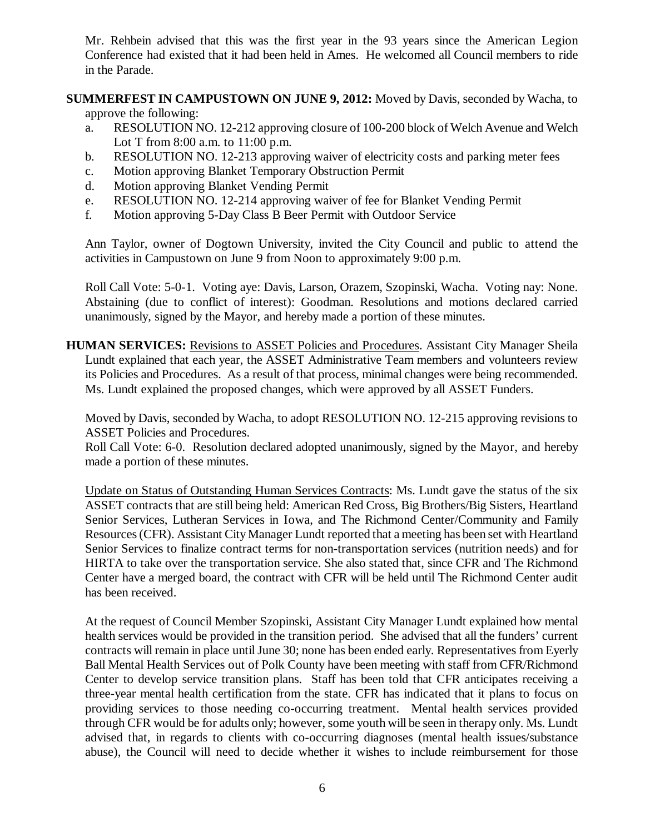Mr. Rehbein advised that this was the first year in the 93 years since the American Legion Conference had existed that it had been held in Ames. He welcomed all Council members to ride in the Parade.

# **SUMMERFEST IN CAMPUSTOWN ON JUNE 9, 2012:** Moved by Davis, seconded by Wacha, to

approve the following:

- a. RESOLUTION NO. 12-212 approving closure of 100-200 block of Welch Avenue and Welch Lot T from 8:00 a.m. to 11:00 p.m.
- b. RESOLUTION NO. 12-213 approving waiver of electricity costs and parking meter fees
- c. Motion approving Blanket Temporary Obstruction Permit
- d. Motion approving Blanket Vending Permit
- e. RESOLUTION NO. 12-214 approving waiver of fee for Blanket Vending Permit
- f. Motion approving 5-Day Class B Beer Permit with Outdoor Service

Ann Taylor, owner of Dogtown University, invited the City Council and public to attend the activities in Campustown on June 9 from Noon to approximately 9:00 p.m.

Roll Call Vote: 5-0-1. Voting aye: Davis, Larson, Orazem, Szopinski, Wacha. Voting nay: None. Abstaining (due to conflict of interest): Goodman. Resolutions and motions declared carried unanimously, signed by the Mayor, and hereby made a portion of these minutes.

**HUMAN SERVICES:** Revisions to ASSET Policies and Procedures. Assistant City Manager Sheila Lundt explained that each year, the ASSET Administrative Team members and volunteers review its Policies and Procedures. As a result of that process, minimal changes were being recommended. Ms. Lundt explained the proposed changes, which were approved by all ASSET Funders.

Moved by Davis, seconded by Wacha, to adopt RESOLUTION NO. 12-215 approving revisions to ASSET Policies and Procedures.

Roll Call Vote: 6-0. Resolution declared adopted unanimously, signed by the Mayor, and hereby made a portion of these minutes.

Update on Status of Outstanding Human Services Contracts: Ms. Lundt gave the status of the six ASSET contracts that are still being held: American Red Cross, Big Brothers/Big Sisters, Heartland Senior Services, Lutheran Services in Iowa, and The Richmond Center/Community and Family Resources (CFR). Assistant City Manager Lundt reported that a meeting has been set with Heartland Senior Services to finalize contract terms for non-transportation services (nutrition needs) and for HIRTA to take over the transportation service. She also stated that, since CFR and The Richmond Center have a merged board, the contract with CFR will be held until The Richmond Center audit has been received.

At the request of Council Member Szopinski, Assistant City Manager Lundt explained how mental health services would be provided in the transition period. She advised that all the funders' current contracts will remain in place until June 30; none has been ended early. Representatives from Eyerly Ball Mental Health Services out of Polk County have been meeting with staff from CFR/Richmond Center to develop service transition plans. Staff has been told that CFR anticipates receiving a three-year mental health certification from the state. CFR has indicated that it plans to focus on providing services to those needing co-occurring treatment. Mental health services provided through CFR would be for adults only; however, some youth will be seen in therapy only. Ms. Lundt advised that, in regards to clients with co-occurring diagnoses (mental health issues/substance abuse), the Council will need to decide whether it wishes to include reimbursement for those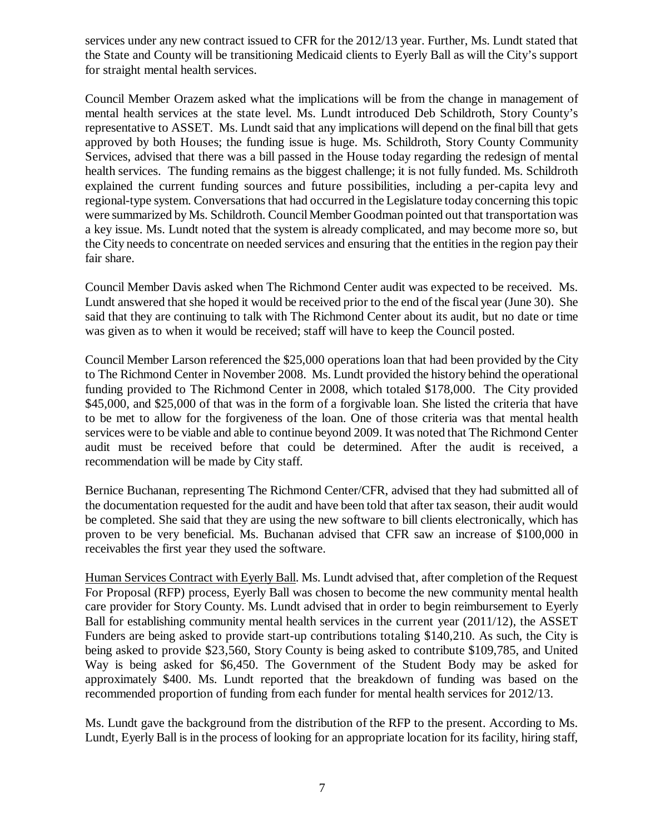services under any new contract issued to CFR for the 2012/13 year. Further, Ms. Lundt stated that the State and County will be transitioning Medicaid clients to Eyerly Ball as will the City's support for straight mental health services.

Council Member Orazem asked what the implications will be from the change in management of mental health services at the state level. Ms. Lundt introduced Deb Schildroth, Story County's representative to ASSET. Ms. Lundt said that any implications will depend on the final bill that gets approved by both Houses; the funding issue is huge. Ms. Schildroth, Story County Community Services, advised that there was a bill passed in the House today regarding the redesign of mental health services. The funding remains as the biggest challenge; it is not fully funded. Ms. Schildroth explained the current funding sources and future possibilities, including a per-capita levy and regional-type system. Conversations that had occurred in the Legislature today concerning this topic were summarized by Ms. Schildroth. Council Member Goodman pointed out that transportation was a key issue. Ms. Lundt noted that the system is already complicated, and may become more so, but the City needs to concentrate on needed services and ensuring that the entities in the region pay their fair share.

Council Member Davis asked when The Richmond Center audit was expected to be received. Ms. Lundt answered that she hoped it would be received prior to the end of the fiscal year (June 30). She said that they are continuing to talk with The Richmond Center about its audit, but no date or time was given as to when it would be received; staff will have to keep the Council posted.

Council Member Larson referenced the \$25,000 operations loan that had been provided by the City to The Richmond Center in November 2008. Ms. Lundt provided the history behind the operational funding provided to The Richmond Center in 2008, which totaled \$178,000. The City provided \$45,000, and \$25,000 of that was in the form of a forgivable loan. She listed the criteria that have to be met to allow for the forgiveness of the loan. One of those criteria was that mental health services were to be viable and able to continue beyond 2009. It was noted that The Richmond Center audit must be received before that could be determined. After the audit is received, a recommendation will be made by City staff.

Bernice Buchanan, representing The Richmond Center/CFR, advised that they had submitted all of the documentation requested for the audit and have been told that after tax season, their audit would be completed. She said that they are using the new software to bill clients electronically, which has proven to be very beneficial. Ms. Buchanan advised that CFR saw an increase of \$100,000 in receivables the first year they used the software.

Human Services Contract with Eyerly Ball. Ms. Lundt advised that, after completion of the Request For Proposal (RFP) process, Eyerly Ball was chosen to become the new community mental health care provider for Story County. Ms. Lundt advised that in order to begin reimbursement to Eyerly Ball for establishing community mental health services in the current year (2011/12), the ASSET Funders are being asked to provide start-up contributions totaling \$140,210. As such, the City is being asked to provide \$23,560, Story County is being asked to contribute \$109,785, and United Way is being asked for \$6,450. The Government of the Student Body may be asked for approximately \$400. Ms. Lundt reported that the breakdown of funding was based on the recommended proportion of funding from each funder for mental health services for 2012/13.

Ms. Lundt gave the background from the distribution of the RFP to the present. According to Ms. Lundt, Eyerly Ball is in the process of looking for an appropriate location for its facility, hiring staff,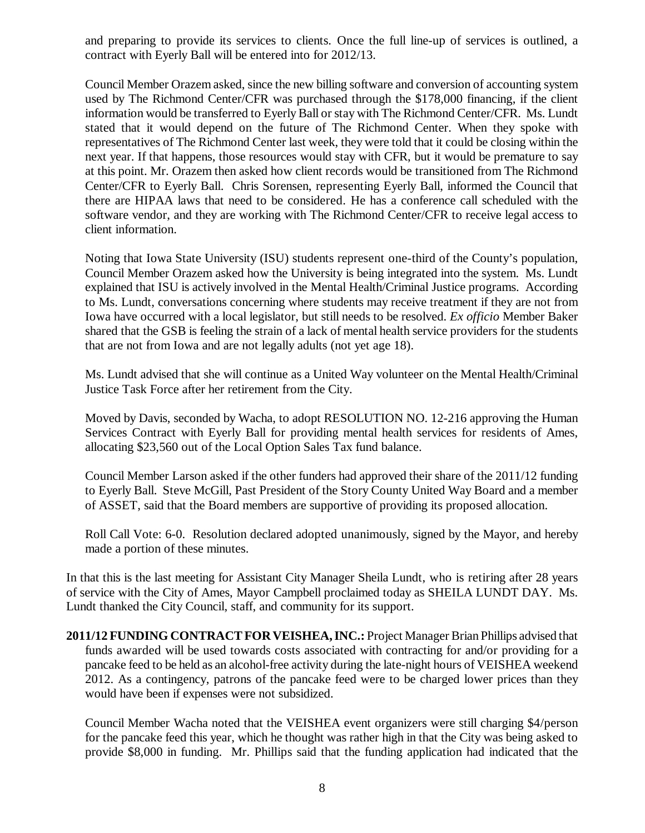and preparing to provide its services to clients. Once the full line-up of services is outlined, a contract with Eyerly Ball will be entered into for 2012/13.

Council Member Orazem asked, since the new billing software and conversion of accounting system used by The Richmond Center/CFR was purchased through the \$178,000 financing, if the client information would be transferred to Eyerly Ball or stay with The Richmond Center/CFR. Ms. Lundt stated that it would depend on the future of The Richmond Center. When they spoke with representatives of The Richmond Center last week, they were told that it could be closing within the next year. If that happens, those resources would stay with CFR, but it would be premature to say at this point. Mr. Orazem then asked how client records would be transitioned from The Richmond Center/CFR to Eyerly Ball. Chris Sorensen, representing Eyerly Ball, informed the Council that there are HIPAA laws that need to be considered. He has a conference call scheduled with the software vendor, and they are working with The Richmond Center/CFR to receive legal access to client information.

Noting that Iowa State University (ISU) students represent one-third of the County's population, Council Member Orazem asked how the University is being integrated into the system. Ms. Lundt explained that ISU is actively involved in the Mental Health/Criminal Justice programs. According to Ms. Lundt, conversations concerning where students may receive treatment if they are not from Iowa have occurred with a local legislator, but still needs to be resolved. *Ex officio* Member Baker shared that the GSB is feeling the strain of a lack of mental health service providers for the students that are not from Iowa and are not legally adults (not yet age 18).

Ms. Lundt advised that she will continue as a United Way volunteer on the Mental Health/Criminal Justice Task Force after her retirement from the City.

Moved by Davis, seconded by Wacha, to adopt RESOLUTION NO. 12-216 approving the Human Services Contract with Eyerly Ball for providing mental health services for residents of Ames, allocating \$23,560 out of the Local Option Sales Tax fund balance.

Council Member Larson asked if the other funders had approved their share of the 2011/12 funding to Eyerly Ball. Steve McGill, Past President of the Story County United Way Board and a member of ASSET, said that the Board members are supportive of providing its proposed allocation.

Roll Call Vote: 6-0. Resolution declared adopted unanimously, signed by the Mayor, and hereby made a portion of these minutes.

In that this is the last meeting for Assistant City Manager Sheila Lundt, who is retiring after 28 years of service with the City of Ames, Mayor Campbell proclaimed today as SHEILA LUNDT DAY. Ms. Lundt thanked the City Council, staff, and community for its support.

**2011/12 FUNDING CONTRACT FOR VEISHEA, INC.:** Project Manager Brian Phillips advised that funds awarded will be used towards costs associated with contracting for and/or providing for a pancake feed to be held as an alcohol-free activity during the late-night hours of VEISHEA weekend 2012. As a contingency, patrons of the pancake feed were to be charged lower prices than they would have been if expenses were not subsidized.

Council Member Wacha noted that the VEISHEA event organizers were still charging \$4/person for the pancake feed this year, which he thought was rather high in that the City was being asked to provide \$8,000 in funding. Mr. Phillips said that the funding application had indicated that the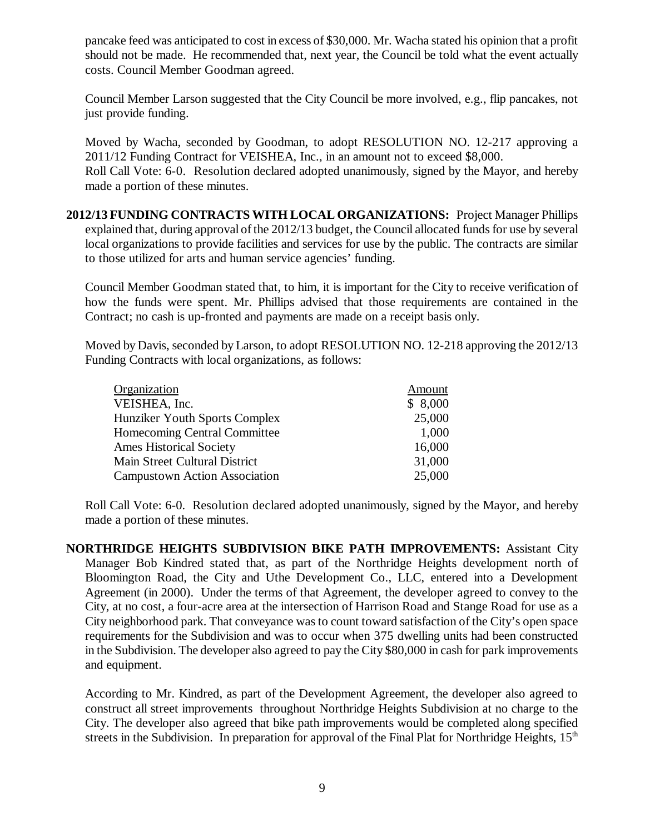pancake feed was anticipated to cost in excess of \$30,000. Mr. Wacha stated his opinion that a profit should not be made. He recommended that, next year, the Council be told what the event actually costs. Council Member Goodman agreed.

Council Member Larson suggested that the City Council be more involved, e.g., flip pancakes, not just provide funding.

Moved by Wacha, seconded by Goodman, to adopt RESOLUTION NO. 12-217 approving a 2011/12 Funding Contract for VEISHEA, Inc., in an amount not to exceed \$8,000. Roll Call Vote: 6-0. Resolution declared adopted unanimously, signed by the Mayor, and hereby made a portion of these minutes.

**2012/13 FUNDING CONTRACTS WITH LOCAL ORGANIZATIONS:** Project Manager Phillips explained that, during approval of the 2012/13 budget, the Council allocated funds for use by several local organizations to provide facilities and services for use by the public. The contracts are similar to those utilized for arts and human service agencies' funding.

Council Member Goodman stated that, to him, it is important for the City to receive verification of how the funds were spent. Mr. Phillips advised that those requirements are contained in the Contract; no cash is up-fronted and payments are made on a receipt basis only.

Moved by Davis, seconded by Larson, to adopt RESOLUTION NO. 12-218 approving the 2012/13 Funding Contracts with local organizations, as follows:

| Organization                         | Amount  |
|--------------------------------------|---------|
| VEISHEA, Inc.                        | \$8,000 |
| Hunziker Youth Sports Complex        | 25,000  |
| Homecoming Central Committee         | 1,000   |
| Ames Historical Society              | 16,000  |
| Main Street Cultural District        | 31,000  |
| <b>Campustown Action Association</b> | 25,000  |

Roll Call Vote: 6-0. Resolution declared adopted unanimously, signed by the Mayor, and hereby made a portion of these minutes.

**NORTHRIDGE HEIGHTS SUBDIVISION BIKE PATH IMPROVEMENTS:** Assistant City Manager Bob Kindred stated that, as part of the Northridge Heights development north of Bloomington Road, the City and Uthe Development Co., LLC, entered into a Development Agreement (in 2000). Under the terms of that Agreement, the developer agreed to convey to the City, at no cost, a four-acre area at the intersection of Harrison Road and Stange Road for use as a City neighborhood park. That conveyance was to count toward satisfaction of the City's open space requirements for the Subdivision and was to occur when 375 dwelling units had been constructed in the Subdivision. The developer also agreed to pay the City \$80,000 in cash for park improvements and equipment.

According to Mr. Kindred, as part of the Development Agreement, the developer also agreed to construct all street improvements throughout Northridge Heights Subdivision at no charge to the City. The developer also agreed that bike path improvements would be completed along specified streets in the Subdivision. In preparation for approval of the Final Plat for Northridge Heights,  $15<sup>th</sup>$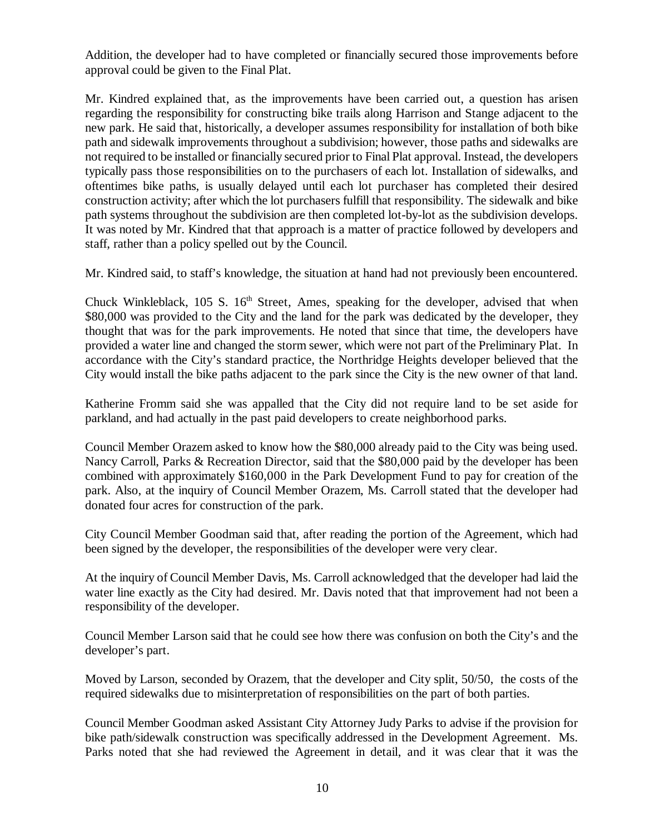Addition, the developer had to have completed or financially secured those improvements before approval could be given to the Final Plat.

Mr. Kindred explained that, as the improvements have been carried out, a question has arisen regarding the responsibility for constructing bike trails along Harrison and Stange adjacent to the new park. He said that, historically, a developer assumes responsibility for installation of both bike path and sidewalk improvements throughout a subdivision; however, those paths and sidewalks are not required to be installed or financially secured prior to Final Plat approval. Instead, the developers typically pass those responsibilities on to the purchasers of each lot. Installation of sidewalks, and oftentimes bike paths, is usually delayed until each lot purchaser has completed their desired construction activity; after which the lot purchasers fulfill that responsibility. The sidewalk and bike path systems throughout the subdivision are then completed lot-by-lot as the subdivision develops. It was noted by Mr. Kindred that that approach is a matter of practice followed by developers and staff, rather than a policy spelled out by the Council.

Mr. Kindred said, to staff's knowledge, the situation at hand had not previously been encountered.

Chuck Winkleblack,  $105 \text{ S}$ ,  $16^{\text{th}}$  Street, Ames, speaking for the developer, advised that when \$80,000 was provided to the City and the land for the park was dedicated by the developer, they thought that was for the park improvements. He noted that since that time, the developers have provided a water line and changed the storm sewer, which were not part of the Preliminary Plat. In accordance with the City's standard practice, the Northridge Heights developer believed that the City would install the bike paths adjacent to the park since the City is the new owner of that land.

Katherine Fromm said she was appalled that the City did not require land to be set aside for parkland, and had actually in the past paid developers to create neighborhood parks.

Council Member Orazem asked to know how the \$80,000 already paid to the City was being used. Nancy Carroll, Parks & Recreation Director, said that the \$80,000 paid by the developer has been combined with approximately \$160,000 in the Park Development Fund to pay for creation of the park. Also, at the inquiry of Council Member Orazem, Ms. Carroll stated that the developer had donated four acres for construction of the park.

City Council Member Goodman said that, after reading the portion of the Agreement, which had been signed by the developer, the responsibilities of the developer were very clear.

At the inquiry of Council Member Davis, Ms. Carroll acknowledged that the developer had laid the water line exactly as the City had desired. Mr. Davis noted that that improvement had not been a responsibility of the developer.

Council Member Larson said that he could see how there was confusion on both the City's and the developer's part.

Moved by Larson, seconded by Orazem, that the developer and City split, 50/50, the costs of the required sidewalks due to misinterpretation of responsibilities on the part of both parties.

Council Member Goodman asked Assistant City Attorney Judy Parks to advise if the provision for bike path/sidewalk construction was specifically addressed in the Development Agreement. Ms. Parks noted that she had reviewed the Agreement in detail, and it was clear that it was the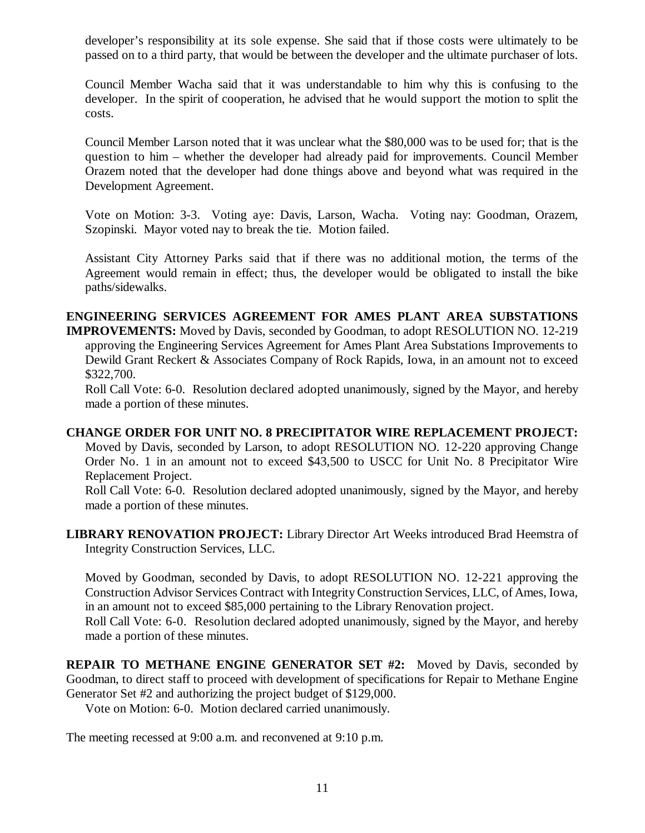developer's responsibility at its sole expense. She said that if those costs were ultimately to be passed on to a third party, that would be between the developer and the ultimate purchaser of lots.

Council Member Wacha said that it was understandable to him why this is confusing to the developer. In the spirit of cooperation, he advised that he would support the motion to split the costs.

Council Member Larson noted that it was unclear what the \$80,000 was to be used for; that is the question to him – whether the developer had already paid for improvements. Council Member Orazem noted that the developer had done things above and beyond what was required in the Development Agreement.

Vote on Motion: 3-3. Voting aye: Davis, Larson, Wacha. Voting nay: Goodman, Orazem, Szopinski. Mayor voted nay to break the tie. Motion failed.

Assistant City Attorney Parks said that if there was no additional motion, the terms of the Agreement would remain in effect; thus, the developer would be obligated to install the bike paths/sidewalks.

## **ENGINEERING SERVICES AGREEMENT FOR AMES PLANT AREA SUBSTATIONS**

**IMPROVEMENTS:** Moved by Davis, seconded by Goodman, to adopt RESOLUTION NO. 12-219 approving the Engineering Services Agreement for Ames Plant Area Substations Improvements to Dewild Grant Reckert & Associates Company of Rock Rapids, Iowa, in an amount not to exceed \$322,700.

Roll Call Vote: 6-0. Resolution declared adopted unanimously, signed by the Mayor, and hereby made a portion of these minutes.

## **CHANGE ORDER FOR UNIT NO. 8 PRECIPITATOR WIRE REPLACEMENT PROJECT:**

Moved by Davis, seconded by Larson, to adopt RESOLUTION NO. 12-220 approving Change Order No. 1 in an amount not to exceed \$43,500 to USCC for Unit No. 8 Precipitator Wire Replacement Project.

Roll Call Vote: 6-0. Resolution declared adopted unanimously, signed by the Mayor, and hereby made a portion of these minutes.

**LIBRARY RENOVATION PROJECT:** Library Director Art Weeks introduced Brad Heemstra of Integrity Construction Services, LLC.

Moved by Goodman, seconded by Davis, to adopt RESOLUTION NO. 12-221 approving the Construction Advisor Services Contract with Integrity Construction Services, LLC, of Ames, Iowa, in an amount not to exceed \$85,000 pertaining to the Library Renovation project. Roll Call Vote: 6-0. Resolution declared adopted unanimously, signed by the Mayor, and hereby

made a portion of these minutes.

**REPAIR TO METHANE ENGINE GENERATOR SET #2:** Moved by Davis, seconded by Goodman, to direct staff to proceed with development of specifications for Repair to Methane Engine Generator Set #2 and authorizing the project budget of \$129,000.

Vote on Motion: 6-0. Motion declared carried unanimously.

The meeting recessed at 9:00 a.m. and reconvened at 9:10 p.m.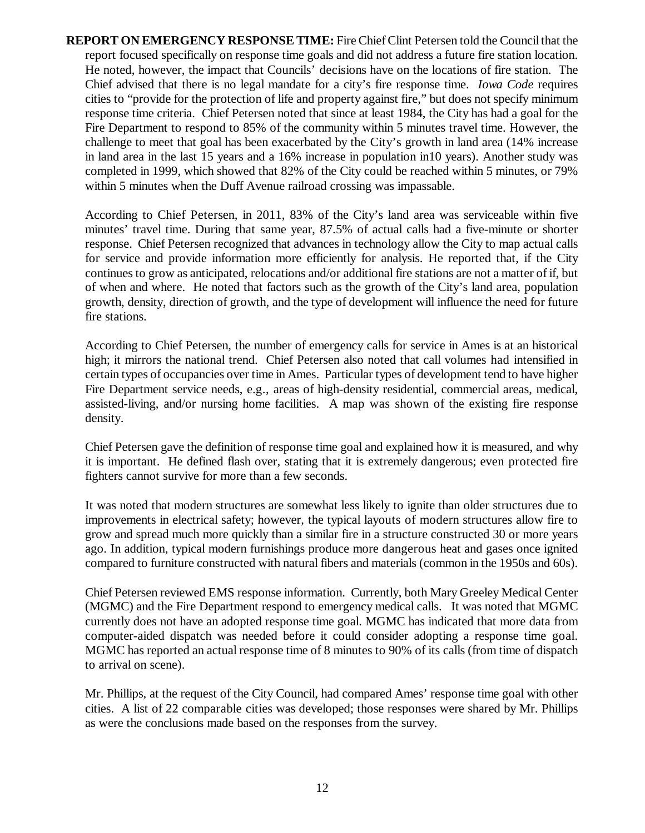**REPORT ON EMERGENCY RESPONSE TIME:** Fire Chief Clint Petersen told the Council that the report focused specifically on response time goals and did not address a future fire station location. He noted, however, the impact that Councils' decisions have on the locations of fire station. The Chief advised that there is no legal mandate for a city's fire response time. *Iowa Code* requires cities to "provide for the protection of life and property against fire," but does not specify minimum response time criteria. Chief Petersen noted that since at least 1984, the City has had a goal for the Fire Department to respond to 85% of the community within 5 minutes travel time. However, the challenge to meet that goal has been exacerbated by the City's growth in land area (14% increase in land area in the last 15 years and a 16% increase in population in10 years). Another study was completed in 1999, which showed that 82% of the City could be reached within 5 minutes, or 79% within 5 minutes when the Duff Avenue railroad crossing was impassable.

According to Chief Petersen, in 2011, 83% of the City's land area was serviceable within five minutes' travel time. During that same year, 87.5% of actual calls had a five-minute or shorter response. Chief Petersen recognized that advances in technology allow the City to map actual calls for service and provide information more efficiently for analysis. He reported that, if the City continues to grow as anticipated, relocations and/or additional fire stations are not a matter of if, but of when and where. He noted that factors such as the growth of the City's land area, population growth, density, direction of growth, and the type of development will influence the need for future fire stations.

According to Chief Petersen, the number of emergency calls for service in Ames is at an historical high; it mirrors the national trend. Chief Petersen also noted that call volumes had intensified in certain types of occupancies over time in Ames. Particular types of development tend to have higher Fire Department service needs, e.g., areas of high-density residential, commercial areas, medical, assisted-living, and/or nursing home facilities. A map was shown of the existing fire response density.

Chief Petersen gave the definition of response time goal and explained how it is measured, and why it is important. He defined flash over, stating that it is extremely dangerous; even protected fire fighters cannot survive for more than a few seconds.

It was noted that modern structures are somewhat less likely to ignite than older structures due to improvements in electrical safety; however, the typical layouts of modern structures allow fire to grow and spread much more quickly than a similar fire in a structure constructed 30 or more years ago. In addition, typical modern furnishings produce more dangerous heat and gases once ignited compared to furniture constructed with natural fibers and materials (common in the 1950s and 60s).

Chief Petersen reviewed EMS response information. Currently, both Mary Greeley Medical Center (MGMC) and the Fire Department respond to emergency medical calls. It was noted that MGMC currently does not have an adopted response time goal. MGMC has indicated that more data from computer-aided dispatch was needed before it could consider adopting a response time goal. MGMC has reported an actual response time of 8 minutes to 90% of its calls (from time of dispatch to arrival on scene).

Mr. Phillips, at the request of the City Council, had compared Ames' response time goal with other cities. A list of 22 comparable cities was developed; those responses were shared by Mr. Phillips as were the conclusions made based on the responses from the survey.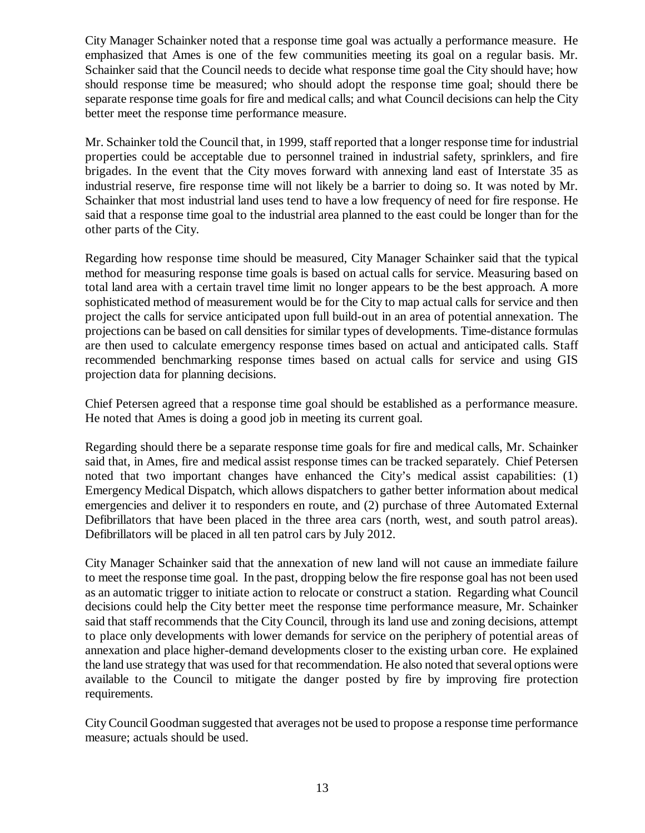City Manager Schainker noted that a response time goal was actually a performance measure. He emphasized that Ames is one of the few communities meeting its goal on a regular basis. Mr. Schainker said that the Council needs to decide what response time goal the City should have; how should response time be measured; who should adopt the response time goal; should there be separate response time goals for fire and medical calls; and what Council decisions can help the City better meet the response time performance measure.

Mr. Schainker told the Council that, in 1999, staff reported that a longer response time for industrial properties could be acceptable due to personnel trained in industrial safety, sprinklers, and fire brigades. In the event that the City moves forward with annexing land east of Interstate 35 as industrial reserve, fire response time will not likely be a barrier to doing so. It was noted by Mr. Schainker that most industrial land uses tend to have a low frequency of need for fire response. He said that a response time goal to the industrial area planned to the east could be longer than for the other parts of the City.

Regarding how response time should be measured, City Manager Schainker said that the typical method for measuring response time goals is based on actual calls for service. Measuring based on total land area with a certain travel time limit no longer appears to be the best approach. A more sophisticated method of measurement would be for the City to map actual calls for service and then project the calls for service anticipated upon full build-out in an area of potential annexation. The projections can be based on call densities for similar types of developments. Time-distance formulas are then used to calculate emergency response times based on actual and anticipated calls. Staff recommended benchmarking response times based on actual calls for service and using GIS projection data for planning decisions.

Chief Petersen agreed that a response time goal should be established as a performance measure. He noted that Ames is doing a good job in meeting its current goal.

Regarding should there be a separate response time goals for fire and medical calls, Mr. Schainker said that, in Ames, fire and medical assist response times can be tracked separately. Chief Petersen noted that two important changes have enhanced the City's medical assist capabilities: (1) Emergency Medical Dispatch, which allows dispatchers to gather better information about medical emergencies and deliver it to responders en route, and (2) purchase of three Automated External Defibrillators that have been placed in the three area cars (north, west, and south patrol areas). Defibrillators will be placed in all ten patrol cars by July 2012.

City Manager Schainker said that the annexation of new land will not cause an immediate failure to meet the response time goal. In the past, dropping below the fire response goal has not been used as an automatic trigger to initiate action to relocate or construct a station. Regarding what Council decisions could help the City better meet the response time performance measure, Mr. Schainker said that staff recommends that the City Council, through its land use and zoning decisions, attempt to place only developments with lower demands for service on the periphery of potential areas of annexation and place higher-demand developments closer to the existing urban core. He explained the land use strategy that was used for that recommendation. He also noted that several options were available to the Council to mitigate the danger posted by fire by improving fire protection requirements.

City Council Goodman suggested that averages not be used to propose a response time performance measure; actuals should be used.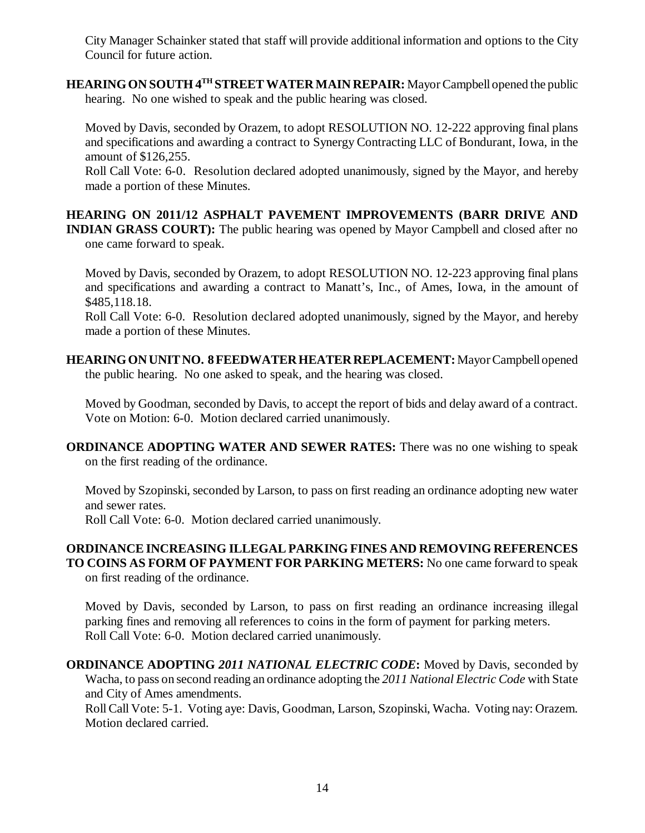City Manager Schainker stated that staff will provide additional information and options to the City Council for future action.

**HEARING ON SOUTH 4TH STREET WATER MAIN REPAIR:** Mayor Campbell opened the public hearing. No one wished to speak and the public hearing was closed.

Moved by Davis, seconded by Orazem, to adopt RESOLUTION NO. 12-222 approving final plans and specifications and awarding a contract to Synergy Contracting LLC of Bondurant, Iowa, in the amount of \$126,255.

Roll Call Vote: 6-0. Resolution declared adopted unanimously, signed by the Mayor, and hereby made a portion of these Minutes.

**HEARING ON 2011/12 ASPHALT PAVEMENT IMPROVEMENTS (BARR DRIVE AND INDIAN GRASS COURT):** The public hearing was opened by Mayor Campbell and closed after no one came forward to speak.

Moved by Davis, seconded by Orazem, to adopt RESOLUTION NO. 12-223 approving final plans and specifications and awarding a contract to Manatt's, Inc., of Ames, Iowa, in the amount of \$485,118.18.

Roll Call Vote: 6-0. Resolution declared adopted unanimously, signed by the Mayor, and hereby made a portion of these Minutes.

**HEARING ON UNIT NO. 8 FEEDWATER HEATER REPLACEMENT:** Mayor Campbell opened the public hearing. No one asked to speak, and the hearing was closed.

Moved by Goodman, seconded by Davis, to accept the report of bids and delay award of a contract. Vote on Motion: 6-0. Motion declared carried unanimously.

**ORDINANCE ADOPTING WATER AND SEWER RATES:** There was no one wishing to speak on the first reading of the ordinance.

Moved by Szopinski, seconded by Larson, to pass on first reading an ordinance adopting new water and sewer rates.

Roll Call Vote: 6-0. Motion declared carried unanimously.

## **ORDINANCE INCREASING ILLEGAL PARKING FINES AND REMOVING REFERENCES TO COINS AS FORM OF PAYMENT FOR PARKING METERS:** No one came forward to speak on first reading of the ordinance.

Moved by Davis, seconded by Larson, to pass on first reading an ordinance increasing illegal parking fines and removing all references to coins in the form of payment for parking meters. Roll Call Vote: 6-0. Motion declared carried unanimously.

**ORDINANCE ADOPTING** *2011 NATIONAL ELECTRIC CODE***:** Moved by Davis, seconded by Wacha, to pass on second reading an ordinance adopting the *2011 National Electric Code* with State and City of Ames amendments.

Roll Call Vote: 5-1. Voting aye: Davis, Goodman, Larson, Szopinski, Wacha. Voting nay: Orazem. Motion declared carried.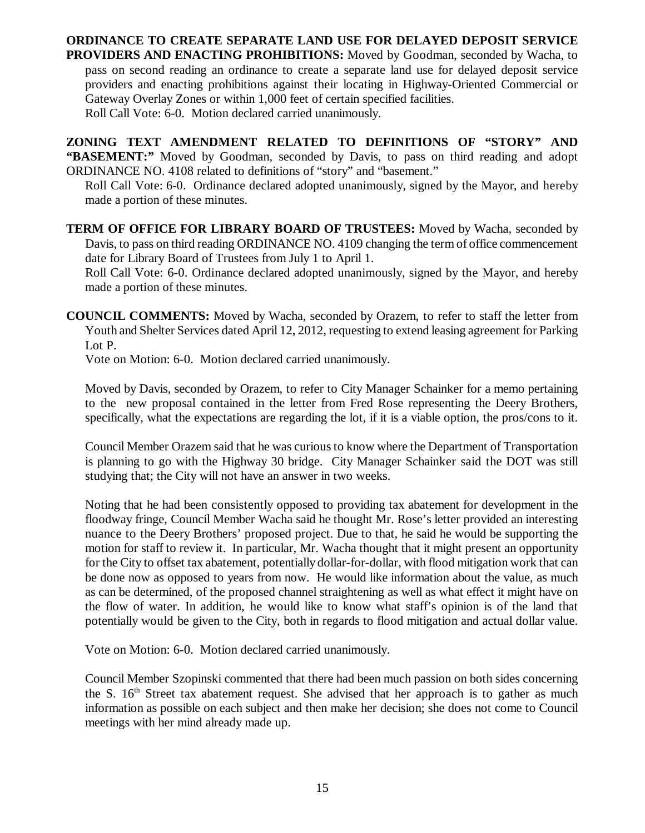**ORDINANCE TO CREATE SEPARATE LAND USE FOR DELAYED DEPOSIT SERVICE PROVIDERS AND ENACTING PROHIBITIONS:** Moved by Goodman, seconded by Wacha, to pass on second reading an ordinance to create a separate land use for delayed deposit service providers and enacting prohibitions against their locating in Highway-Oriented Commercial or Gateway Overlay Zones or within 1,000 feet of certain specified facilities. Roll Call Vote: 6-0. Motion declared carried unanimously.

**ZONING TEXT AMENDMENT RELATED TO DEFINITIONS OF "STORY" AND "BASEMENT:"** Moved by Goodman, seconded by Davis, to pass on third reading and adopt ORDINANCE NO. 4108 related to definitions of "story" and "basement."

Roll Call Vote: 6-0. Ordinance declared adopted unanimously, signed by the Mayor, and hereby made a portion of these minutes.

**TERM OF OFFICE FOR LIBRARY BOARD OF TRUSTEES:** Moved by Wacha, seconded by Davis, to pass on third reading ORDINANCE NO. 4109 changing the term of office commencement date for Library Board of Trustees from July 1 to April 1.

Roll Call Vote: 6-0. Ordinance declared adopted unanimously, signed by the Mayor, and hereby made a portion of these minutes.

**COUNCIL COMMENTS:** Moved by Wacha, seconded by Orazem, to refer to staff the letter from Youth and Shelter Services dated April 12, 2012, requesting to extend leasing agreement for Parking Lot P.

Vote on Motion: 6-0. Motion declared carried unanimously.

Moved by Davis, seconded by Orazem, to refer to City Manager Schainker for a memo pertaining to the new proposal contained in the letter from Fred Rose representing the Deery Brothers, specifically, what the expectations are regarding the lot, if it is a viable option, the pros/cons to it.

Council Member Orazem said that he was curious to know where the Department of Transportation is planning to go with the Highway 30 bridge. City Manager Schainker said the DOT was still studying that; the City will not have an answer in two weeks.

Noting that he had been consistently opposed to providing tax abatement for development in the floodway fringe, Council Member Wacha said he thought Mr. Rose's letter provided an interesting nuance to the Deery Brothers' proposed project. Due to that, he said he would be supporting the motion for staff to review it. In particular, Mr. Wacha thought that it might present an opportunity for the City to offset tax abatement, potentially dollar-for-dollar, with flood mitigation work that can be done now as opposed to years from now. He would like information about the value, as much as can be determined, of the proposed channel straightening as well as what effect it might have on the flow of water. In addition, he would like to know what staff's opinion is of the land that potentially would be given to the City, both in regards to flood mitigation and actual dollar value.

Vote on Motion: 6-0. Motion declared carried unanimously.

Council Member Szopinski commented that there had been much passion on both sides concerning the S.  $16<sup>th</sup>$  Street tax abatement request. She advised that her approach is to gather as much information as possible on each subject and then make her decision; she does not come to Council meetings with her mind already made up.